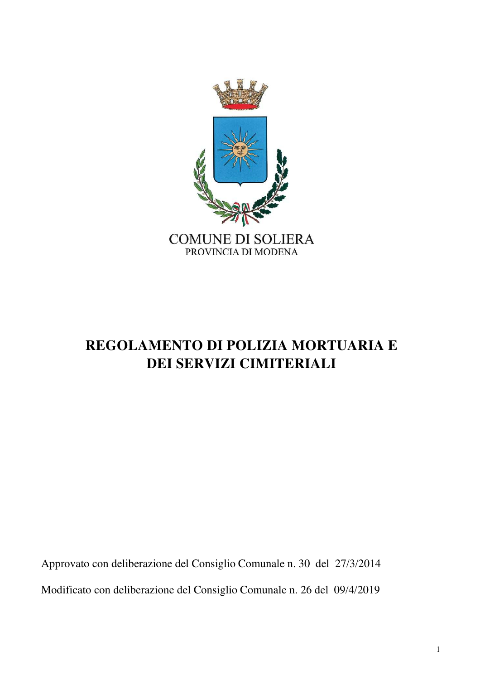

# **REGOLAMENTO DI POLIZIA MORTUARIA E DEI SERVIZI CIMITERIALI**

Approvato con deliberazione del Consiglio Comunale n. 30 del 27/3/2014 Modificato con deliberazione del Consiglio Comunale n. 26 del 09/4/2019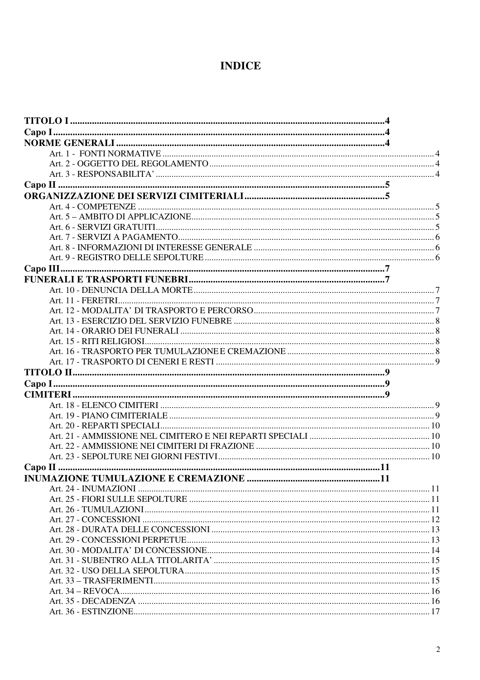# **INDICE**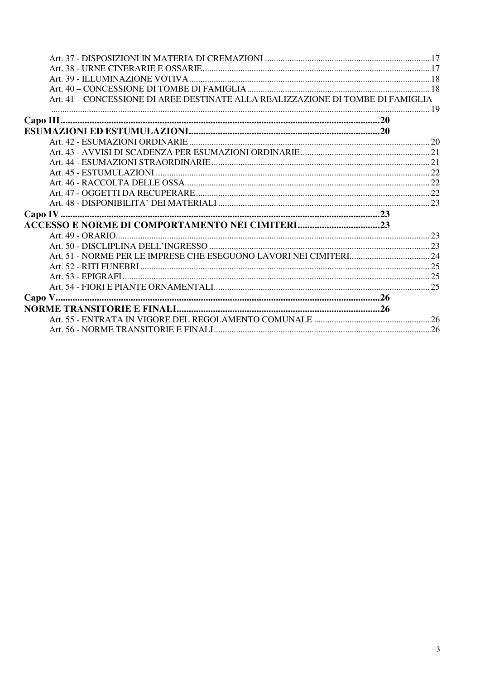| Art. 41 - CONCESSIONE DI AREE DESTINATE ALLA REALIZZAZIONE DI TOMBE DI FAMIGLIA |  |
|---------------------------------------------------------------------------------|--|
|                                                                                 |  |
|                                                                                 |  |
|                                                                                 |  |
|                                                                                 |  |
|                                                                                 |  |
|                                                                                 |  |
|                                                                                 |  |
|                                                                                 |  |
|                                                                                 |  |
|                                                                                 |  |
|                                                                                 |  |
|                                                                                 |  |
|                                                                                 |  |
|                                                                                 |  |
|                                                                                 |  |
|                                                                                 |  |
|                                                                                 |  |
|                                                                                 |  |
|                                                                                 |  |
|                                                                                 |  |
|                                                                                 |  |
|                                                                                 |  |
|                                                                                 |  |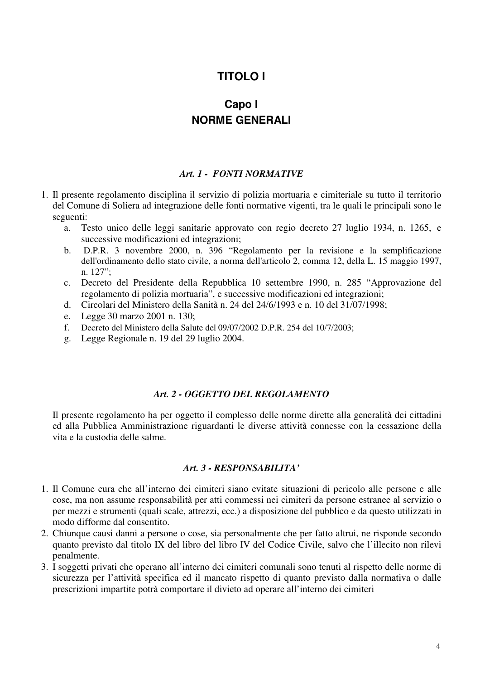# **TITOLO I**

# **Capo I NORME GENERALI**

#### *Art. 1 - FONTI NORMATIVE*

- 1. Il presente regolamento disciplina il servizio di polizia mortuaria e cimiteriale su tutto il territorio del Comune di Soliera ad integrazione delle fonti normative vigenti, tra le quali le principali sono le seguenti:
	- a. Testo unico delle leggi sanitarie approvato con regio decreto 27 luglio 1934, n. 1265, e successive modificazioni ed integrazioni;
	- b. D.P.R. 3 novembre 2000, n. 396 "Regolamento per la revisione e la semplificazione dell'ordinamento dello stato civile, a norma dell'articolo 2, comma 12, della L. 15 maggio 1997, n. 127";
	- c. Decreto del Presidente della Repubblica 10 settembre 1990, n. 285 "Approvazione del regolamento di polizia mortuaria", e successive modificazioni ed integrazioni;
	- d. Circolari del Ministero della Sanità n. 24 del 24/6/1993 e n. 10 del 31/07/1998;
	- e. Legge 30 marzo 2001 n. 130;
	- f. Decreto del Ministero della Salute del 09/07/2002 D.P.R. 254 del 10/7/2003;
	- g. Legge Regionale n. 19 del 29 luglio 2004.

### *Art. 2 - OGGETTO DEL REGOLAMENTO*

Il presente regolamento ha per oggetto il complesso delle norme dirette alla generalità dei cittadini ed alla Pubblica Amministrazione riguardanti le diverse attività connesse con la cessazione della vita e la custodia delle salme.

#### *Art. 3 - RESPONSABILITA'*

- 1. Il Comune cura che all'interno dei cimiteri siano evitate situazioni di pericolo alle persone e alle cose, ma non assume responsabilità per atti commessi nei cimiteri da persone estranee al servizio o per mezzi e strumenti (quali scale, attrezzi, ecc.) a disposizione del pubblico e da questo utilizzati in modo difforme dal consentito.
- 2. Chiunque causi danni a persone o cose, sia personalmente che per fatto altrui, ne risponde secondo quanto previsto dal titolo IX del libro del libro IV del Codice Civile, salvo che l'illecito non rilevi penalmente.
- 3. I soggetti privati che operano all'interno dei cimiteri comunali sono tenuti al rispetto delle norme di sicurezza per l'attività specifica ed il mancato rispetto di quanto previsto dalla normativa o dalle prescrizioni impartite potrà comportare il divieto ad operare all'interno dei cimiteri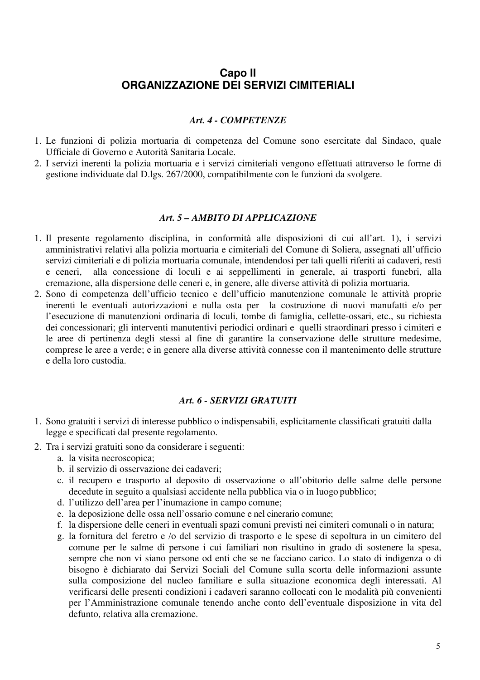# **Capo II ORGANIZZAZIONE DEI SERVIZI CIMITERIALI**

#### *Art. 4 - COMPETENZE*

- 1. Le funzioni di polizia mortuaria di competenza del Comune sono esercitate dal Sindaco, quale Ufficiale di Governo e Autorità Sanitaria Locale.
- 2. I servizi inerenti la polizia mortuaria e i servizi cimiteriali vengono effettuati attraverso le forme di gestione individuate dal D.lgs. 267/2000, compatibilmente con le funzioni da svolgere.

#### *Art. 5 – AMBITO DI APPLICAZIONE*

- 1. Il presente regolamento disciplina, in conformità alle disposizioni di cui all'art. 1), i servizi amministrativi relativi alla polizia mortuaria e cimiteriali del Comune di Soliera, assegnati all'ufficio servizi cimiteriali e di polizia mortuaria comunale, intendendosi per tali quelli riferiti ai cadaveri, resti e ceneri, alla concessione di loculi e ai seppellimenti in generale, ai trasporti funebri, alla cremazione, alla dispersione delle ceneri e, in genere, alle diverse attività di polizia mortuaria.
- 2. Sono di competenza dell'ufficio tecnico e dell'ufficio manutenzione comunale le attività proprie inerenti le eventuali autorizzazioni e nulla osta per la costruzione di nuovi manufatti e/o per l'esecuzione di manutenzioni ordinaria di loculi, tombe di famiglia, cellette-ossari, etc., su richiesta dei concessionari; gli interventi manutentivi periodici ordinari e quelli straordinari presso i cimiteri e le aree di pertinenza degli stessi al fine di garantire la conservazione delle strutture medesime, comprese le aree a verde; e in genere alla diverse attività connesse con il mantenimento delle strutture e della loro custodia.

#### *Art. 6 - SERVIZI GRATUITI*

- 1. Sono gratuiti i servizi di interesse pubblico o indispensabili, esplicitamente classificati gratuiti dalla legge e specificati dal presente regolamento.
- 2. Tra i servizi gratuiti sono da considerare i seguenti:
	- a. la visita necroscopica;
	- b. il servizio di osservazione dei cadaveri;
	- c. il recupero e trasporto al deposito di osservazione o all'obitorio delle salme delle persone decedute in seguito a qualsiasi accidente nella pubblica via o in luogo pubblico;
	- d. l'utilizzo dell'area per l'inumazione in campo comune;
	- e. la deposizione delle ossa nell'ossario comune e nel cinerario comune;
	- f. la dispersione delle ceneri in eventuali spazi comuni previsti nei cimiteri comunali o in natura;
	- g. la fornitura del feretro e /o del servizio di trasporto e le spese di sepoltura in un cimitero del comune per le salme di persone i cui familiari non risultino in grado di sostenere la spesa, sempre che non vi siano persone od enti che se ne facciano carico. Lo stato di indigenza o di bisogno è dichiarato dai Servizi Sociali del Comune sulla scorta delle informazioni assunte sulla composizione del nucleo familiare e sulla situazione economica degli interessati. Al verificarsi delle presenti condizioni i cadaveri saranno collocati con le modalità più convenienti per l'Amministrazione comunale tenendo anche conto dell'eventuale disposizione in vita del defunto, relativa alla cremazione.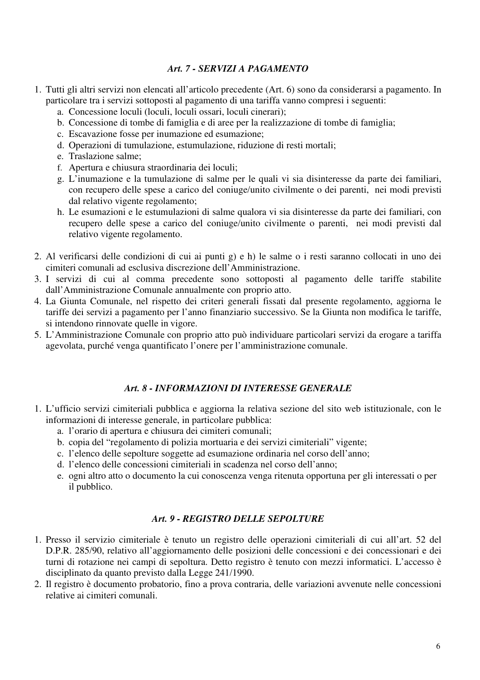# *Art. 7 - SERVIZI A PAGAMENTO*

- 1. Tutti gli altri servizi non elencati all'articolo precedente (Art. 6) sono da considerarsi a pagamento. In particolare tra i servizi sottoposti al pagamento di una tariffa vanno compresi i seguenti:
	- a. Concessione loculi (loculi, loculi ossari, loculi cinerari);
	- b. Concessione di tombe di famiglia e di aree per la realizzazione di tombe di famiglia;
	- c. Escavazione fosse per inumazione ed esumazione;
	- d. Operazioni di tumulazione, estumulazione, riduzione di resti mortali;
	- e. Traslazione salme;
	- f. Apertura e chiusura straordinaria dei loculi;
	- g. L'inumazione e la tumulazione di salme per le quali vi sia disinteresse da parte dei familiari, con recupero delle spese a carico del coniuge/unito civilmente o dei parenti, nei modi previsti dal relativo vigente regolamento;
	- h. Le esumazioni e le estumulazioni di salme qualora vi sia disinteresse da parte dei familiari, con recupero delle spese a carico del coniuge/unito civilmente o parenti, nei modi previsti dal relativo vigente regolamento.
- 2. Al verificarsi delle condizioni di cui ai punti g) e h) le salme o i resti saranno collocati in uno dei cimiteri comunali ad esclusiva discrezione dell'Amministrazione.
- 3. I servizi di cui al comma precedente sono sottoposti al pagamento delle tariffe stabilite dall'Amministrazione Comunale annualmente con proprio atto.
- 4. La Giunta Comunale, nel rispetto dei criteri generali fissati dal presente regolamento, aggiorna le tariffe dei servizi a pagamento per l'anno finanziario successivo. Se la Giunta non modifica le tariffe, si intendono rinnovate quelle in vigore.
- 5. L'Amministrazione Comunale con proprio atto può individuare particolari servizi da erogare a tariffa agevolata, purché venga quantificato l'onere per l'amministrazione comunale.

# *Art. 8 - INFORMAZIONI DI INTERESSE GENERALE*

- 1. L'ufficio servizi cimiteriali pubblica e aggiorna la relativa sezione del sito web istituzionale, con le informazioni di interesse generale, in particolare pubblica:
	- a. l'orario di apertura e chiusura dei cimiteri comunali;
	- b. copia del "regolamento di polizia mortuaria e dei servizi cimiteriali" vigente;
	- c. l'elenco delle sepolture soggette ad esumazione ordinaria nel corso dell'anno;
	- d. l'elenco delle concessioni cimiteriali in scadenza nel corso dell'anno;
	- e. ogni altro atto o documento la cui conoscenza venga ritenuta opportuna per gli interessati o per il pubblico.

# *Art. 9 - REGISTRO DELLE SEPOLTURE*

- 1. Presso il servizio cimiteriale è tenuto un registro delle operazioni cimiteriali di cui all'art. 52 del D.P.R. 285/90, relativo all'aggiornamento delle posizioni delle concessioni e dei concessionari e dei turni di rotazione nei campi di sepoltura. Detto registro è tenuto con mezzi informatici. L'accesso è disciplinato da quanto previsto dalla Legge 241/1990.
- 2. Il registro è documento probatorio, fino a prova contraria, delle variazioni avvenute nelle concessioni relative ai cimiteri comunali.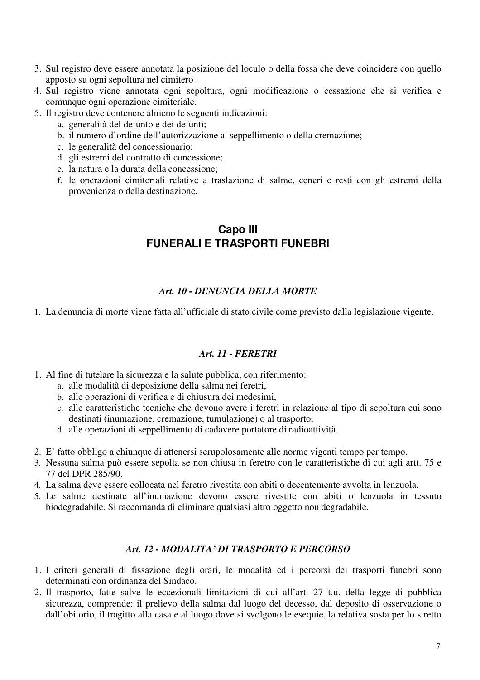- 3. Sul registro deve essere annotata la posizione del loculo o della fossa che deve coincidere con quello apposto su ogni sepoltura nel cimitero .
- 4. Sul registro viene annotata ogni sepoltura, ogni modificazione o cessazione che si verifica e comunque ogni operazione cimiteriale.
- 5. Il registro deve contenere almeno le seguenti indicazioni:
	- a. generalità del defunto e dei defunti;
	- b. il numero d'ordine dell'autorizzazione al seppellimento o della cremazione;
	- c. le generalità del concessionario;
	- d. gli estremi del contratto di concessione;
	- e. la natura e la durata della concessione;
	- f. le operazioni cimiteriali relative a traslazione di salme, ceneri e resti con gli estremi della provenienza o della destinazione.

# **Capo III FUNERALI E TRASPORTI FUNEBRI**

# *Art. 10 - DENUNCIA DELLA MORTE*

1. La denuncia di morte viene fatta all'ufficiale di stato civile come previsto dalla legislazione vigente.

# *Art. 11 - FERETRI*

- 1. Al fine di tutelare la sicurezza e la salute pubblica, con riferimento:
	- a. alle modalità di deposizione della salma nei feretri,
	- b. alle operazioni di verifica e di chiusura dei medesimi,
	- c. alle caratteristiche tecniche che devono avere i feretri in relazione al tipo di sepoltura cui sono destinati (inumazione, cremazione, tumulazione) o al trasporto,
	- d. alle operazioni di seppellimento di cadavere portatore di radioattività.
- 2. E' fatto obbligo a chiunque di attenersi scrupolosamente alle norme vigenti tempo per tempo.
- 3. Nessuna salma può essere sepolta se non chiusa in feretro con le caratteristiche di cui agli artt. 75 e 77 del DPR 285/90.
- 4. La salma deve essere collocata nel feretro rivestita con abiti o decentemente avvolta in lenzuola.
- 5. Le salme destinate all'inumazione devono essere rivestite con abiti o lenzuola in tessuto biodegradabile. Si raccomanda di eliminare qualsiasi altro oggetto non degradabile.

# *Art. 12 - MODALITA' DI TRASPORTO E PERCORSO*

- 1. I criteri generali di fissazione degli orari, le modalità ed i percorsi dei trasporti funebri sono determinati con ordinanza del Sindaco.
- 2. Il trasporto, fatte salve le eccezionali limitazioni di cui all'art. 27 t.u. della legge di pubblica sicurezza, comprende: il prelievo della salma dal luogo del decesso, dal deposito di osservazione o dall'obitorio, il tragitto alla casa e al luogo dove si svolgono le esequie, la relativa sosta per lo stretto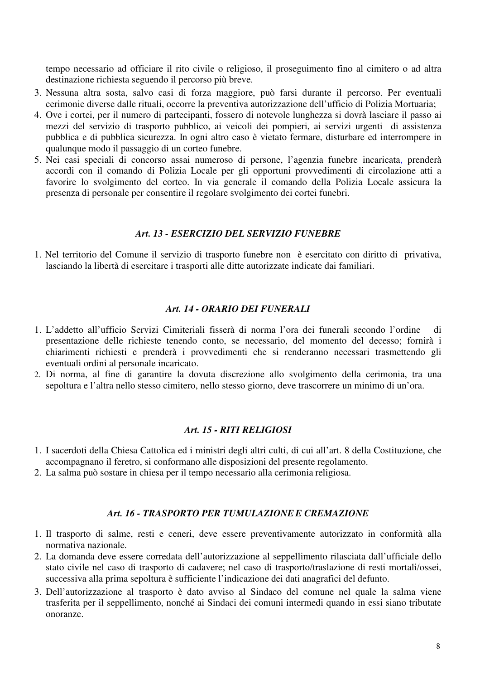tempo necessario ad officiare il rito civile o religioso, il proseguimento fino al cimitero o ad altra destinazione richiesta seguendo il percorso più breve.

- 3. Nessuna altra sosta, salvo casi di forza maggiore, può farsi durante il percorso. Per eventuali cerimonie diverse dalle rituali, occorre la preventiva autorizzazione dell'ufficio di Polizia Mortuaria;
- 4. Ove i cortei, per il numero di partecipanti, fossero di notevole lunghezza si dovrà lasciare il passo ai mezzi del servizio di trasporto pubblico, ai veicoli dei pompieri, ai servizi urgenti di assistenza pubblica e di pubblica sicurezza. In ogni altro caso è vietato fermare, disturbare ed interrompere in qualunque modo il passaggio di un corteo funebre.
- 5. Nei casi speciali di concorso assai numeroso di persone, l'agenzia funebre incaricata, prenderà accordi con il comando di Polizia Locale per gli opportuni provvedimenti di circolazione atti a favorire lo svolgimento del corteo. In via generale il comando della Polizia Locale assicura la presenza di personale per consentire il regolare svolgimento dei cortei funebri.

#### *Art. 13 - ESERCIZIO DEL SERVIZIO FUNEBRE*

1. Nel territorio del Comune il servizio di trasporto funebre non è esercitato con diritto di privativa, lasciando la libertà di esercitare i trasporti alle ditte autorizzate indicate dai familiari.

#### *Art. 14 - ORARIO DEI FUNERALI*

- 1. L'addetto all'ufficio Servizi Cimiteriali fisserà di norma l'ora dei funerali secondo l'ordine di presentazione delle richieste tenendo conto, se necessario, del momento del decesso; fornirà i chiarimenti richiesti e prenderà i provvedimenti che si renderanno necessari trasmettendo gli eventuali ordini al personale incaricato.
- 2. Di norma, al fine di garantire la dovuta discrezione allo svolgimento della cerimonia, tra una sepoltura e l'altra nello stesso cimitero, nello stesso giorno, deve trascorrere un minimo di un'ora.

#### *Art. 15 - RITI RELIGIOSI*

- 1. I sacerdoti della Chiesa Cattolica ed i ministri degli altri culti, di cui all'art. 8 della Costituzione, che accompagnano il feretro, si conformano alle disposizioni del presente regolamento.
- 2. La salma può sostare in chiesa per il tempo necessario alla cerimonia religiosa.

#### *Art. 16 - TRASPORTO PER TUMULAZIONE E CREMAZIONE*

- 1. Il trasporto di salme, resti e ceneri, deve essere preventivamente autorizzato in conformità alla normativa nazionale.
- 2. La domanda deve essere corredata dell'autorizzazione al seppellimento rilasciata dall'ufficiale dello stato civile nel caso di trasporto di cadavere; nel caso di trasporto/traslazione di resti mortali/ossei, successiva alla prima sepoltura è sufficiente l'indicazione dei dati anagrafici del defunto.
- 3. Dell'autorizzazione al trasporto è dato avviso al Sindaco del comune nel quale la salma viene trasferita per il seppellimento, nonché ai Sindaci dei comuni intermedi quando in essi siano tributate onoranze.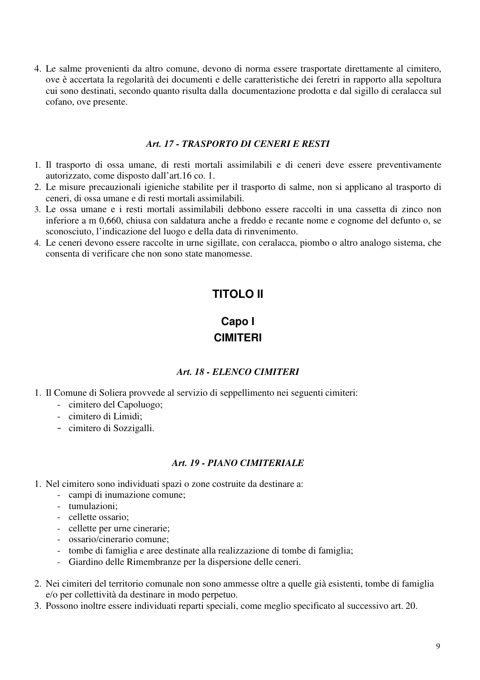4. Le salme provenienti da altro comune, devono di norma essere trasportate direttamente al cimitero, ove è accertata la regolarità dei documenti e delle caratteristiche dei feretri in rapporto alla sepoltura cui sono destinati, secondo quanto risulta dalla documentazione prodotta e dal sigillo di ceralacca sul cofano, ove presente.

#### *Art. 17 - TRASPORTO DI CENERI E RESTI*

- 1. Il trasporto di ossa umane, di resti mortali assimilabili e di ceneri deve essere preventivamente autorizzato, come disposto dall'art.16 co. 1.
- 2. Le misure precauzionali igieniche stabilite per il trasporto di salme, non si applicano al trasporto di ceneri, di ossa umane e di resti mortali assimilabili.
- 3. Le ossa umane e i resti mortali assimilabili debbono essere raccolti in una cassetta di zinco non inferiore a m 0,660, chiusa con saldatura anche a freddo e recante nome e cognome del defunto o, se sconosciuto, l'indicazione del luogo e della data di rinvenimento.
- 4. Le ceneri devono essere raccolte in urne sigillate, con ceralacca, piombo o altro analogo sistema, che consenta di verificare che non sono state manomesse.

# **TITOLO II**

# **Capo I CIMITERI**

#### *Art. 18 - ELENCO CIMITERI*

- 1. Il Comune di Soliera provvede al servizio di seppellimento nei seguenti cimiteri:
	- cimitero del Capoluogo;
	- cimitero di Limidi;
	- cimitero di Sozzigalli.

# *Art. 19 - PIANO CIMITERIALE*

- 1. Nel cimitero sono individuati spazi o zone costruite da destinare a:
	- campi di inumazione comune;
	- tumulazioni;
	- cellette ossario;
	- cellette per urne cinerarie;
	- ossario/cinerario comune;
	- tombe di famiglia e aree destinate alla realizzazione di tombe di famiglia;
	- Giardino delle Rimembranze per la dispersione delle ceneri.
- 2. Nei cimiteri del territorio comunale non sono ammesse oltre a quelle già esistenti, tombe di famiglia e/o per collettività da destinare in modo perpetuo.
- 3. Possono inoltre essere individuati reparti speciali, come meglio specificato al successivo art. 20.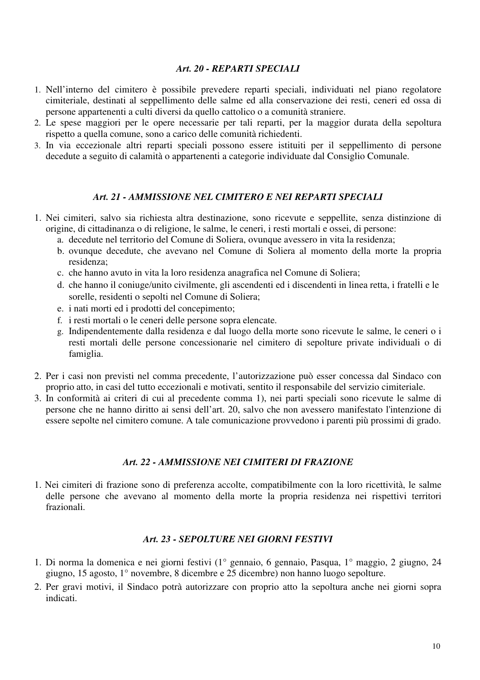#### *Art. 20 - REPARTI SPECIALI*

- 1. Nell'interno del cimitero è possibile prevedere reparti speciali, individuati nel piano regolatore cimiteriale, destinati al seppellimento delle salme ed alla conservazione dei resti, ceneri ed ossa di persone appartenenti a culti diversi da quello cattolico o a comunità straniere.
- 2. Le spese maggiori per le opere necessarie per tali reparti, per la maggior durata della sepoltura rispetto a quella comune, sono a carico delle comunità richiedenti.
- 3. In via eccezionale altri reparti speciali possono essere istituiti per il seppellimento di persone decedute a seguito di calamità o appartenenti a categorie individuate dal Consiglio Comunale.

### *Art. 21 - AMMISSIONE NEL CIMITERO E NEI REPARTI SPECIALI*

- 1. Nei cimiteri, salvo sia richiesta altra destinazione, sono ricevute e seppellite, senza distinzione di origine, di cittadinanza o di religione, le salme, le ceneri, i resti mortali e ossei, di persone:
	- a. decedute nel territorio del Comune di Soliera, ovunque avessero in vita la residenza;
	- b. ovunque decedute, che avevano nel Comune di Soliera al momento della morte la propria residenza;
	- c. che hanno avuto in vita la loro residenza anagrafica nel Comune di Soliera;
	- d. che hanno il coniuge/unito civilmente, gli ascendenti ed i discendenti in linea retta, i fratelli e le sorelle, residenti o sepolti nel Comune di Soliera;
	- e. i nati morti ed i prodotti del concepimento;
	- f. i resti mortali o le ceneri delle persone sopra elencate.
	- g. Indipendentemente dalla residenza e dal luogo della morte sono ricevute le salme, le ceneri o i resti mortali delle persone concessionarie nel cimitero di sepolture private individuali o di famiglia.
- 2. Per i casi non previsti nel comma precedente, l'autorizzazione può esser concessa dal Sindaco con proprio atto, in casi del tutto eccezionali e motivati, sentito il responsabile del servizio cimiteriale.
- 3. In conformità ai criteri di cui al precedente comma 1), nei parti speciali sono ricevute le salme di persone che ne hanno diritto ai sensi dell'art. 20, salvo che non avessero manifestato l'intenzione di essere sepolte nel cimitero comune. A tale comunicazione provvedono i parenti più prossimi di grado.

#### *Art. 22 - AMMISSIONE NEI CIMITERI DI FRAZIONE*

1. Nei cimiteri di frazione sono di preferenza accolte, compatibilmente con la loro ricettività, le salme delle persone che avevano al momento della morte la propria residenza nei rispettivi territori frazionali.

# *Art. 23 - SEPOLTURE NEI GIORNI FESTIVI*

- 1. Di norma la domenica e nei giorni festivi (1° gennaio, 6 gennaio, Pasqua, 1° maggio, 2 giugno, 24 giugno, 15 agosto, 1° novembre, 8 dicembre e 25 dicembre) non hanno luogo sepolture.
- 2. Per gravi motivi, il Sindaco potrà autorizzare con proprio atto la sepoltura anche nei giorni sopra indicati.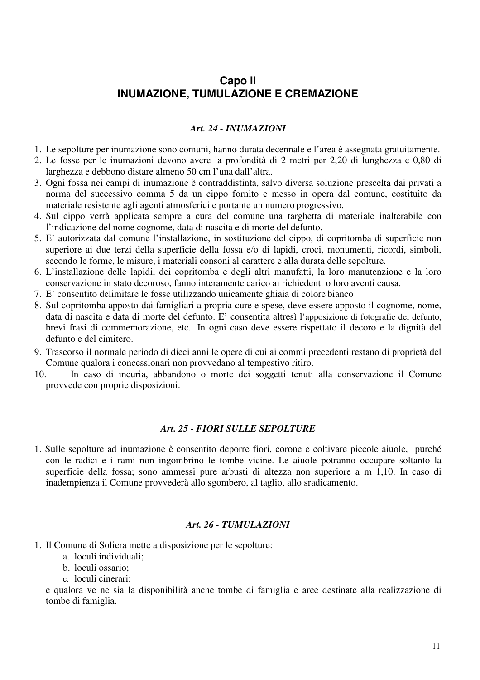# **Capo II INUMAZIONE, TUMULAZIONE E CREMAZIONE**

#### *Art. 24 - INUMAZIONI*

- 1. Le sepolture per inumazione sono comuni, hanno durata decennale e l'area è assegnata gratuitamente.
- 2. Le fosse per le inumazioni devono avere la profondità di 2 metri per 2,20 di lunghezza e 0,80 di larghezza e debbono distare almeno 50 cm l'una dall'altra.
- 3. Ogni fossa nei campi di inumazione è contraddistinta, salvo diversa soluzione prescelta dai privati a norma del successivo comma 5 da un cippo fornito e messo in opera dal comune, costituito da materiale resistente agli agenti atmosferici e portante un numero progressivo.
- 4. Sul cippo verrà applicata sempre a cura del comune una targhetta di materiale inalterabile con l'indicazione del nome cognome, data di nascita e di morte del defunto.
- 5. E' autorizzata dal comune l'installazione, in sostituzione del cippo, di copritomba di superficie non superiore ai due terzi della superficie della fossa e/o di lapidi, croci, monumenti, ricordi, simboli, secondo le forme, le misure, i materiali consoni al carattere e alla durata delle sepolture.
- 6. L'installazione delle lapidi, dei copritomba e degli altri manufatti, la loro manutenzione e la loro conservazione in stato decoroso, fanno interamente carico ai richiedenti o loro aventi causa.
- 7. E' consentito delimitare le fosse utilizzando unicamente ghiaia di colore bianco
- 8. Sul copritomba apposto dai famigliari a propria cure e spese, deve essere apposto il cognome, nome, data di nascita e data di morte del defunto. E' consentita altresì l'apposizione di fotografie del defunto, brevi frasi di commemorazione, etc.. In ogni caso deve essere rispettato il decoro e la dignità del defunto e del cimitero.
- 9. Trascorso il normale periodo di dieci anni le opere di cui ai commi precedenti restano di proprietà del Comune qualora i concessionari non provvedano al tempestivo ritiro.
- 10. In caso di incuria, abbandono o morte dei soggetti tenuti alla conservazione il Comune provvede con proprie disposizioni.

### *Art. 25 - FIORI SULLE SEPOLTURE*

1. Sulle sepolture ad inumazione è consentito deporre fiori, corone e coltivare piccole aiuole, purché con le radici e i rami non ingombrino le tombe vicine. Le aiuole potranno occupare soltanto la superficie della fossa; sono ammessi pure arbusti di altezza non superiore a m 1,10. In caso di inadempienza il Comune provvederà allo sgombero, al taglio, allo sradicamento.

#### *Art. 26 - TUMULAZIONI*

- 1. Il Comune di Soliera mette a disposizione per le sepolture:
	- a. loculi individuali;
	- b. loculi ossario;
	- c. loculi cinerari;

e qualora ve ne sia la disponibilità anche tombe di famiglia e aree destinate alla realizzazione di tombe di famiglia.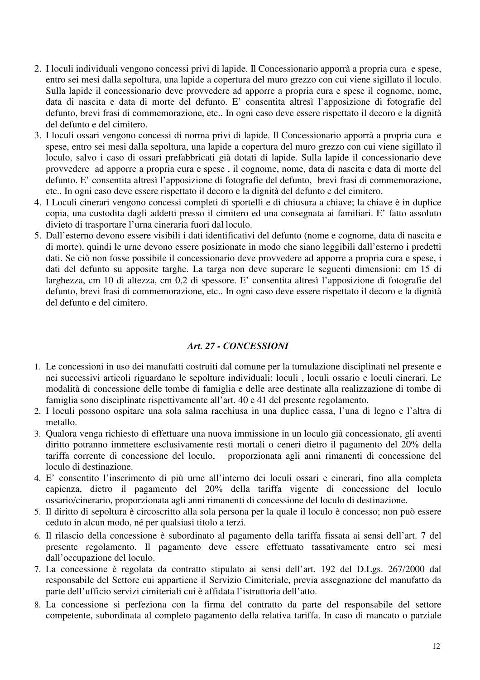- 2. I loculi individuali vengono concessi privi di lapide. Il Concessionario apporrà a propria cura e spese, entro sei mesi dalla sepoltura, una lapide a copertura del muro grezzo con cui viene sigillato il loculo. Sulla lapide il concessionario deve provvedere ad apporre a propria cura e spese il cognome, nome, data di nascita e data di morte del defunto. E' consentita altresì l'apposizione di fotografie del defunto, brevi frasi di commemorazione, etc.. In ogni caso deve essere rispettato il decoro e la dignità del defunto e del cimitero.
- 3. I loculi ossari vengono concessi di norma privi di lapide. Il Concessionario apporrà a propria cura e spese, entro sei mesi dalla sepoltura, una lapide a copertura del muro grezzo con cui viene sigillato il loculo, salvo i caso di ossari prefabbricati già dotati di lapide. Sulla lapide il concessionario deve provvedere ad apporre a propria cura e spese , il cognome, nome, data di nascita e data di morte del defunto. E' consentita altresì l'apposizione di fotografie del defunto, brevi frasi di commemorazione, etc.. In ogni caso deve essere rispettato il decoro e la dignità del defunto e del cimitero.
- 4. I Loculi cinerari vengono concessi completi di sportelli e di chiusura a chiave; la chiave è in duplice copia, una custodita dagli addetti presso il cimitero ed una consegnata ai familiari. E' fatto assoluto divieto di trasportare l'urna cineraria fuori dal loculo.
- 5. Dall'esterno devono essere visibili i dati identificativi del defunto (nome e cognome, data di nascita e di morte), quindi le urne devono essere posizionate in modo che siano leggibili dall'esterno i predetti dati. Se ciò non fosse possibile il concessionario deve provvedere ad apporre a propria cura e spese, i dati del defunto su apposite targhe. La targa non deve superare le seguenti dimensioni: cm 15 di larghezza, cm 10 di altezza, cm 0,2 di spessore. E' consentita altresì l'apposizione di fotografie del defunto, brevi frasi di commemorazione, etc.. In ogni caso deve essere rispettato il decoro e la dignità del defunto e del cimitero.

### *Art. 27 - CONCESSIONI*

- 1. Le concessioni in uso dei manufatti costruiti dal comune per la tumulazione disciplinati nel presente e nei successivi articoli riguardano le sepolture individuali: loculi , loculi ossario e loculi cinerari. Le modalità di concessione delle tombe di famiglia e delle aree destinate alla realizzazione di tombe di famiglia sono disciplinate rispettivamente all'art. 40 e 41 del presente regolamento.
- 2. I loculi possono ospitare una sola salma racchiusa in una duplice cassa, l'una di legno e l'altra di metallo.
- 3. Qualora venga richiesto di effettuare una nuova immissione in un loculo già concessionato, gli aventi diritto potranno immettere esclusivamente resti mortali o ceneri dietro il pagamento del 20% della tariffa corrente di concessione del loculo, proporzionata agli anni rimanenti di concessione del loculo di destinazione.
- 4. E' consentito l'inserimento di più urne all'interno dei loculi ossari e cinerari, fino alla completa capienza, dietro il pagamento del 20% della tariffa vigente di concessione del loculo ossario/cinerario, proporzionata agli anni rimanenti di concessione del loculo di destinazione.
- 5. Il diritto di sepoltura è circoscritto alla sola persona per la quale il loculo è concesso; non può essere ceduto in alcun modo, né per qualsiasi titolo a terzi.
- 6. Il rilascio della concessione è subordinato al pagamento della tariffa fissata ai sensi dell'art. 7 del presente regolamento. Il pagamento deve essere effettuato tassativamente entro sei mesi dall'occupazione del loculo.
- 7. La concessione è regolata da contratto stipulato ai sensi dell'art. 192 del D.Lgs. 267/2000 dal responsabile del Settore cui appartiene il Servizio Cimiteriale, previa assegnazione del manufatto da parte dell'ufficio servizi cimiteriali cui è affidata l'istruttoria dell'atto.
- 8. La concessione si perfeziona con la firma del contratto da parte del responsabile del settore competente, subordinata al completo pagamento della relativa tariffa. In caso di mancato o parziale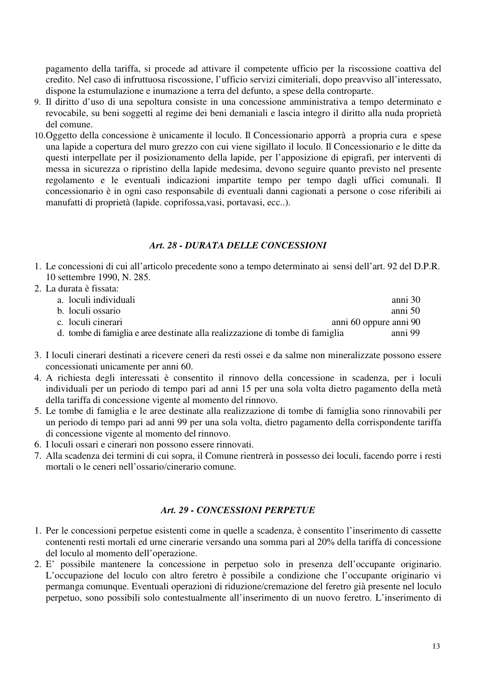pagamento della tariffa, si procede ad attivare il competente ufficio per la riscossione coattiva del credito. Nel caso di infruttuosa riscossione, l'ufficio servizi cimiteriali, dopo preavviso all'interessato, dispone la estumulazione e inumazione a terra del defunto, a spese della controparte.

- 9. Il diritto d'uso di una sepoltura consiste in una concessione amministrativa a tempo determinato e revocabile, su beni soggetti al regime dei beni demaniali e lascia integro il diritto alla nuda proprietà del comune.
- 10.Oggetto della concessione è unicamente il loculo. Il Concessionario apporrà a propria cura e spese una lapide a copertura del muro grezzo con cui viene sigillato il loculo. Il Concessionario e le ditte da questi interpellate per il posizionamento della lapide, per l'apposizione di epigrafi, per interventi di messa in sicurezza o ripristino della lapide medesima, devono seguire quanto previsto nel presente regolamento e le eventuali indicazioni impartite tempo per tempo dagli uffici comunali. Il concessionario è in ogni caso responsabile di eventuali danni cagionati a persone o cose riferibili ai manufatti di proprietà (lapide. coprifossa,vasi, portavasi, ecc..).

#### *Art. 28 - DURATA DELLE CONCESSIONI*

- 1. Le concessioni di cui all'articolo precedente sono a tempo determinato ai sensi dell'art. 92 del D.P.R. 10 settembre 1990, N. 285.
- 2. La durata è fissata: a. loculi individuali anni 30 b. loculi ossario anni 50 c. loculi cinerari anni 60 oppure anni 90 d. tombe di famiglia e aree destinate alla realizzazione di tombe di famiglia anni 99
- 3. I loculi cinerari destinati a ricevere ceneri da resti ossei e da salme non mineralizzate possono essere concessionati unicamente per anni 60.
- 4. A richiesta degli interessati è consentito il rinnovo della concessione in scadenza, per i loculi individuali per un periodo di tempo pari ad anni 15 per una sola volta dietro pagamento della metà della tariffa di concessione vigente al momento del rinnovo.
- 5. Le tombe di famiglia e le aree destinate alla realizzazione di tombe di famiglia sono rinnovabili per un periodo di tempo pari ad anni 99 per una sola volta, dietro pagamento della corrispondente tariffa di concessione vigente al momento del rinnovo.
- 6. I loculi ossari e cinerari non possono essere rinnovati.
- 7. Alla scadenza dei termini di cui sopra, il Comune rientrerà in possesso dei loculi, facendo porre i resti mortali o le ceneri nell'ossario/cinerario comune.

### *Art. 29 - CONCESSIONI PERPETUE*

- 1. Per le concessioni perpetue esistenti come in quelle a scadenza, è consentito l'inserimento di cassette contenenti resti mortali ed urne cinerarie versando una somma pari al 20% della tariffa di concessione del loculo al momento dell'operazione.
- 2. E' possibile mantenere la concessione in perpetuo solo in presenza dell'occupante originario. L'occupazione del loculo con altro feretro è possibile a condizione che l'occupante originario vi permanga comunque. Eventuali operazioni di riduzione/cremazione del feretro già presente nel loculo perpetuo, sono possibili solo contestualmente all'inserimento di un nuovo feretro. L'inserimento di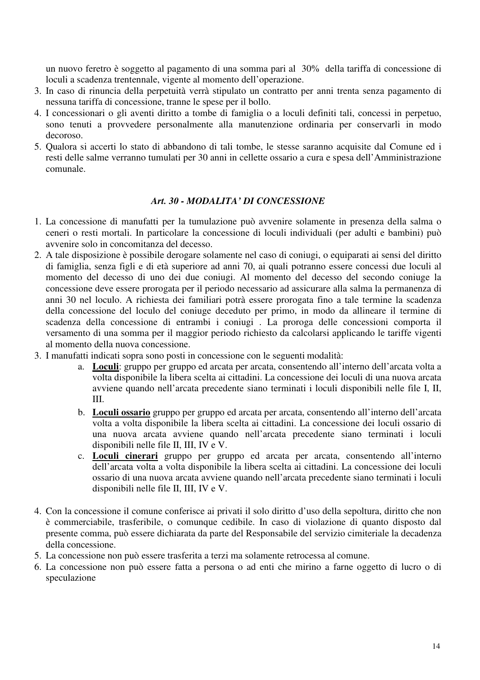un nuovo feretro è soggetto al pagamento di una somma pari al 30% della tariffa di concessione di loculi a scadenza trentennale, vigente al momento dell'operazione.

- 3. In caso di rinuncia della perpetuità verrà stipulato un contratto per anni trenta senza pagamento di nessuna tariffa di concessione, tranne le spese per il bollo.
- 4. I concessionari o gli aventi diritto a tombe di famiglia o a loculi definiti tali, concessi in perpetuo, sono tenuti a provvedere personalmente alla manutenzione ordinaria per conservarli in modo decoroso.
- 5. Qualora si accerti lo stato di abbandono di tali tombe, le stesse saranno acquisite dal Comune ed i resti delle salme verranno tumulati per 30 anni in cellette ossario a cura e spesa dell'Amministrazione comunale.

#### *Art. 30 - MODALITA' DI CONCESSIONE*

- 1. La concessione di manufatti per la tumulazione può avvenire solamente in presenza della salma o ceneri o resti mortali. In particolare la concessione di loculi individuali (per adulti e bambini) può avvenire solo in concomitanza del decesso.
- 2. A tale disposizione è possibile derogare solamente nel caso di coniugi, o equiparati ai sensi del diritto di famiglia, senza figli e di età superiore ad anni 70, ai quali potranno essere concessi due loculi al momento del decesso di uno dei due coniugi. Al momento del decesso del secondo coniuge la concessione deve essere prorogata per il periodo necessario ad assicurare alla salma la permanenza di anni 30 nel loculo. A richiesta dei familiari potrà essere prorogata fino a tale termine la scadenza della concessione del loculo del coniuge deceduto per primo, in modo da allineare il termine di scadenza della concessione di entrambi i coniugi . La proroga delle concessioni comporta il versamento di una somma per il maggior periodo richiesto da calcolarsi applicando le tariffe vigenti al momento della nuova concessione.
- 3. I manufatti indicati sopra sono posti in concessione con le seguenti modalità:
	- a. **Loculi**: gruppo per gruppo ed arcata per arcata, consentendo all'interno dell'arcata volta a volta disponibile la libera scelta ai cittadini. La concessione dei loculi di una nuova arcata avviene quando nell'arcata precedente siano terminati i loculi disponibili nelle file I, II, III.
	- b. **Loculi ossario** gruppo per gruppo ed arcata per arcata, consentendo all'interno dell'arcata volta a volta disponibile la libera scelta ai cittadini. La concessione dei loculi ossario di una nuova arcata avviene quando nell'arcata precedente siano terminati i loculi disponibili nelle file II, III, IV e V.
	- c. **Loculi cinerari** gruppo per gruppo ed arcata per arcata, consentendo all'interno dell'arcata volta a volta disponibile la libera scelta ai cittadini. La concessione dei loculi ossario di una nuova arcata avviene quando nell'arcata precedente siano terminati i loculi disponibili nelle file II, III, IV e V.
- 4. Con la concessione il comune conferisce ai privati il solo diritto d'uso della sepoltura, diritto che non è commerciabile, trasferibile, o comunque cedibile. In caso di violazione di quanto disposto dal presente comma, può essere dichiarata da parte del Responsabile del servizio cimiteriale la decadenza della concessione.
- 5. La concessione non può essere trasferita a terzi ma solamente retrocessa al comune.
- 6. La concessione non può essere fatta a persona o ad enti che mirino a farne oggetto di lucro o di speculazione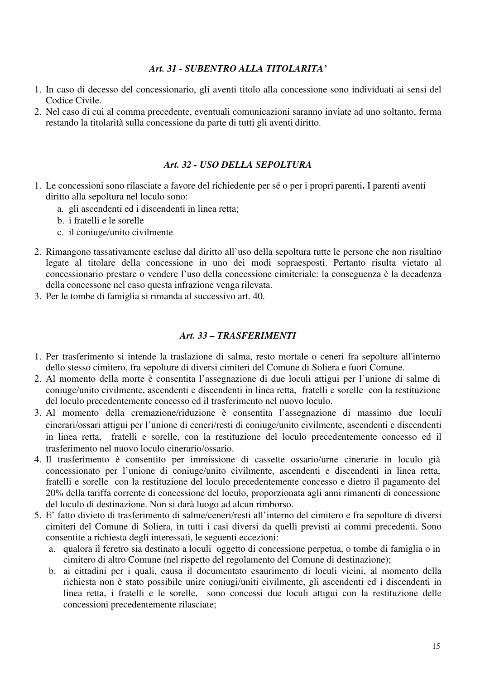#### *Art. 31 - SUBENTRO ALLA TITOLARITA'*

- 1. In caso di decesso del concessionario, gli aventi titolo alla concessione sono individuati ai sensi del Codice Civile.
- 2. Nel caso di cui al comma precedente, eventuali comunicazioni saranno inviate ad uno soltanto, ferma restando la titolarità sulla concessione da parte di tutti gli aventi diritto.

#### *Art. 32 - USO DELLA SEPOLTURA*

- 1. Le concessioni sono rilasciate a favore del richiedente per sé o per i propri parenti**.** I parenti aventi diritto alla sepoltura nel loculo sono:
	- a. gli ascendenti ed i discendenti in linea retta;
	- b. i fratelli e le sorelle
	- c. il coniuge/unito civilmente
- 2. Rimangono tassativamente escluse dal diritto all'uso della sepoltura tutte le persone che non risultino legate al titolare della concessione in uno dei modi sopraesposti. Pertanto risulta vietato al concessionario prestare o vendere l'uso della concessione cimiteriale: la conseguenza è la decadenza della concessone nel caso questa infrazione venga rilevata.
- 3. Per le tombe di famiglia si rimanda al successivo art. 40.

#### *Art. 33 – TRASFERIMENTI*

- 1. Per trasferimento si intende la traslazione di salma, resto mortale o ceneri fra sepolture all'interno dello stesso cimitero, fra sepolture di diversi cimiteri del Comune di Soliera e fuori Comune.
- 2. Al momento della morte è consentita l'assegnazione di due loculi attigui per l'unione di salme di coniuge/unito civilmente, ascendenti e discendenti in linea retta, fratelli e sorelle con la restituzione del loculo precedentemente concesso ed il trasferimento nel nuovo loculo.
- 3. Al momento della cremazione/riduzione è consentita l'assegnazione di massimo due loculi cinerari/ossari attigui per l'unione di ceneri/resti di coniuge/unito civilmente, ascendenti e discendenti in linea retta, fratelli e sorelle, con la restituzione del loculo precedentemente concesso ed il trasferimento nel nuovo loculo cinerario/ossario.
- 4. Il trasferimento è consentito per immissione di cassette ossario/urne cinerarie in loculo già concessionato per l'unione di coniuge/unito civilmente, ascendenti e discendenti in linea retta, fratelli e sorelle con la restituzione del loculo precedentemente concesso e dietro il pagamento del 20% della tariffa corrente di concessione del loculo, proporzionata agli anni rimanenti di concessione del loculo di destinazione. Non si darà luogo ad alcun rimborso.
- 5. E' fatto divieto di trasferimento di salme/ceneri/resti all'interno del cimitero e fra sepolture di diversi cimiteri del Comune di Soliera, in tutti i casi diversi da quelli previsti ai commi precedenti. Sono consentite a richiesta degli interessati, le seguenti eccezioni:
	- a. qualora il feretro sia destinato a loculi oggetto di concessione perpetua, o tombe di famiglia o in cimitero di altro Comune (nel rispetto del regolamento del Comune di destinazione);
	- b. ai cittadini per i quali, causa il documentato esaurimento di loculi vicini, al momento della richiesta non è stato possibile unire coniugi/uniti civilmente, gli ascendenti ed i discendenti in linea retta, i fratelli e le sorelle, sono concessi due loculi attigui con la restituzione delle concessioni precedentemente rilasciate;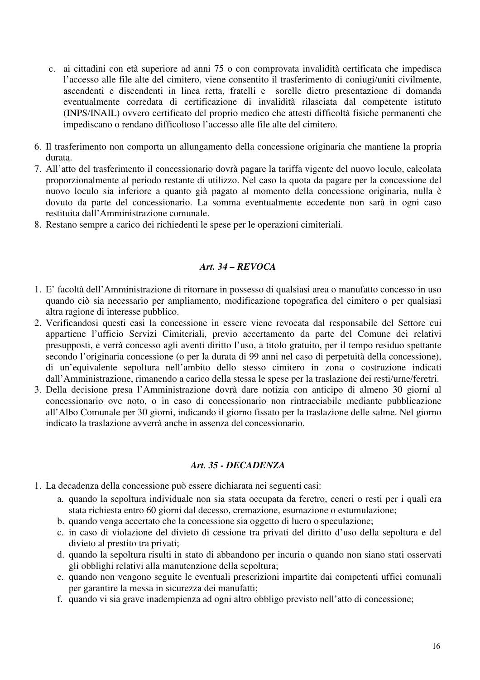- c. ai cittadini con età superiore ad anni 75 o con comprovata invalidità certificata che impedisca l'accesso alle file alte del cimitero, viene consentito il trasferimento di coniugi/uniti civilmente, ascendenti e discendenti in linea retta, fratelli e sorelle dietro presentazione di domanda eventualmente corredata di certificazione di invalidità rilasciata dal competente istituto (INPS/INAIL) ovvero certificato del proprio medico che attesti difficoltà fisiche permanenti che impediscano o rendano difficoltoso l'accesso alle file alte del cimitero.
- 6. Il trasferimento non comporta un allungamento della concessione originaria che mantiene la propria durata.
- 7. All'atto del trasferimento il concessionario dovrà pagare la tariffa vigente del nuovo loculo, calcolata proporzionalmente al periodo restante di utilizzo. Nel caso la quota da pagare per la concessione del nuovo loculo sia inferiore a quanto già pagato al momento della concessione originaria, nulla è dovuto da parte del concessionario. La somma eventualmente eccedente non sarà in ogni caso restituita dall'Amministrazione comunale.
- 8. Restano sempre a carico dei richiedenti le spese per le operazioni cimiteriali.

#### *Art. 34 – REVOCA*

- 1. E' facoltà dell'Amministrazione di ritornare in possesso di qualsiasi area o manufatto concesso in uso quando ciò sia necessario per ampliamento, modificazione topografica del cimitero o per qualsiasi altra ragione di interesse pubblico.
- 2. Verificandosi questi casi la concessione in essere viene revocata dal responsabile del Settore cui appartiene l'ufficio Servizi Cimiteriali, previo accertamento da parte del Comune dei relativi presupposti, e verrà concesso agli aventi diritto l'uso, a titolo gratuito, per il tempo residuo spettante secondo l'originaria concessione (o per la durata di 99 anni nel caso di perpetuità della concessione), di un'equivalente sepoltura nell'ambito dello stesso cimitero in zona o costruzione indicati dall'Amministrazione, rimanendo a carico della stessa le spese per la traslazione dei resti/urne/feretri.
- 3. Della decisione presa l'Amministrazione dovrà dare notizia con anticipo di almeno 30 giorni al concessionario ove noto, o in caso di concessionario non rintracciabile mediante pubblicazione all'Albo Comunale per 30 giorni, indicando il giorno fissato per la traslazione delle salme. Nel giorno indicato la traslazione avverrà anche in assenza del concessionario.

#### *Art. 35 - DECADENZA*

- 1. La decadenza della concessione può essere dichiarata nei seguenti casi:
	- a. quando la sepoltura individuale non sia stata occupata da feretro, ceneri o resti per i quali era stata richiesta entro 60 giorni dal decesso, cremazione, esumazione o estumulazione;
	- b. quando venga accertato che la concessione sia oggetto di lucro o speculazione;
	- c. in caso di violazione del divieto di cessione tra privati del diritto d'uso della sepoltura e del divieto al prestito tra privati;
	- d. quando la sepoltura risulti in stato di abbandono per incuria o quando non siano stati osservati gli obblighi relativi alla manutenzione della sepoltura;
	- e. quando non vengono seguite le eventuali prescrizioni impartite dai competenti uffici comunali per garantire la messa in sicurezza dei manufatti;
	- f. quando vi sia grave inadempienza ad ogni altro obbligo previsto nell'atto di concessione;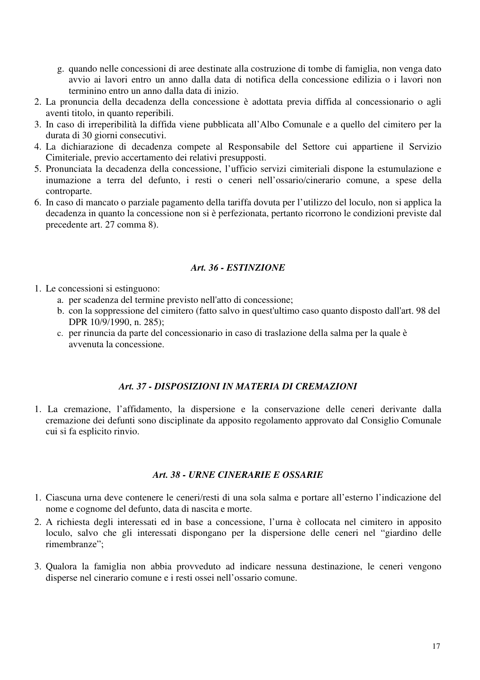- g. quando nelle concessioni di aree destinate alla costruzione di tombe di famiglia, non venga dato avvio ai lavori entro un anno dalla data di notifica della concessione edilizia o i lavori non terminino entro un anno dalla data di inizio.
- 2. La pronuncia della decadenza della concessione è adottata previa diffida al concessionario o agli aventi titolo, in quanto reperibili.
- 3. In caso di irreperibilità la diffida viene pubblicata all'Albo Comunale e a quello del cimitero per la durata di 30 giorni consecutivi.
- 4. La dichiarazione di decadenza compete al Responsabile del Settore cui appartiene il Servizio Cimiteriale, previo accertamento dei relativi presupposti.
- 5. Pronunciata la decadenza della concessione, l'ufficio servizi cimiteriali dispone la estumulazione e inumazione a terra del defunto, i resti o ceneri nell'ossario/cinerario comune, a spese della controparte.
- 6. In caso di mancato o parziale pagamento della tariffa dovuta per l'utilizzo del loculo, non si applica la decadenza in quanto la concessione non si è perfezionata, pertanto ricorrono le condizioni previste dal precedente art. 27 comma 8).

#### *Art. 36 - ESTINZIONE*

- 1. Le concessioni si estinguono:
	- a. per scadenza del termine previsto nell'atto di concessione;
	- b. con la soppressione del cimitero (fatto salvo in quest'ultimo caso quanto disposto dall'art. 98 del DPR 10/9/1990, n. 285);
	- c. per rinuncia da parte del concessionario in caso di traslazione della salma per la quale è avvenuta la concessione.

# *Art. 37 - DISPOSIZIONI IN MATERIA DI CREMAZIONI*

1. La cremazione, l'affidamento, la dispersione e la conservazione delle ceneri derivante dalla cremazione dei defunti sono disciplinate da apposito regolamento approvato dal Consiglio Comunale cui si fa esplicito rinvio.

# *Art. 38 - URNE CINERARIE E OSSARIE*

- 1. Ciascuna urna deve contenere le ceneri/resti di una sola salma e portare all'esterno l'indicazione del nome e cognome del defunto, data di nascita e morte.
- 2. A richiesta degli interessati ed in base a concessione, l'urna è collocata nel cimitero in apposito loculo, salvo che gli interessati dispongano per la dispersione delle ceneri nel "giardino delle rimembranze";
- 3. Qualora la famiglia non abbia provveduto ad indicare nessuna destinazione, le ceneri vengono disperse nel cinerario comune e i resti ossei nell'ossario comune.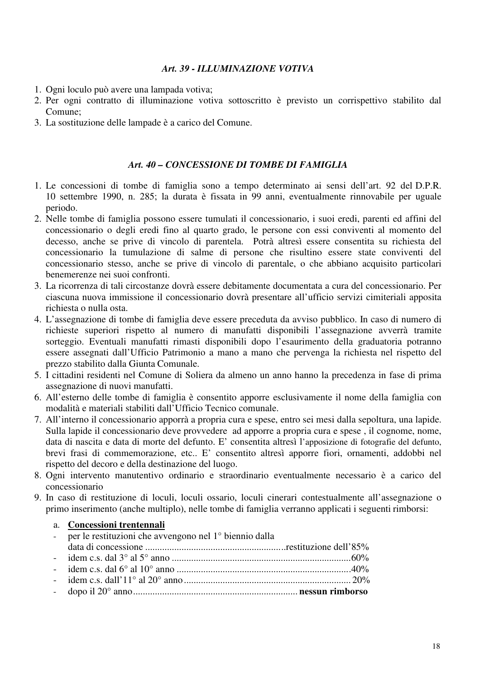#### *Art. 39 - ILLUMINAZIONE VOTIVA*

- 1. Ogni loculo può avere una lampada votiva;
- 2. Per ogni contratto di illuminazione votiva sottoscritto è previsto un corrispettivo stabilito dal Comune;
- 3. La sostituzione delle lampade è a carico del Comune.

# *Art. 40 – CONCESSIONE DI TOMBE DI FAMIGLIA*

- 1. Le concessioni di tombe di famiglia sono a tempo determinato ai sensi dell'art. 92 del D.P.R. 10 settembre 1990, n. 285; la durata è fissata in 99 anni, eventualmente rinnovabile per uguale periodo.
- 2. Nelle tombe di famiglia possono essere tumulati il concessionario, i suoi eredi, parenti ed affini del concessionario o degli eredi fino al quarto grado, le persone con essi conviventi al momento del decesso, anche se prive di vincolo di parentela. Potrà altresì essere consentita su richiesta del concessionario la tumulazione di salme di persone che risultino essere state conviventi del concessionario stesso, anche se prive di vincolo di parentale, o che abbiano acquisito particolari benemerenze nei suoi confronti.
- 3. La ricorrenza di tali circostanze dovrà essere debitamente documentata a cura del concessionario. Per ciascuna nuova immissione il concessionario dovrà presentare all'ufficio servizi cimiteriali apposita richiesta o nulla osta.
- 4. L'assegnazione di tombe di famiglia deve essere preceduta da avviso pubblico. In caso di numero di richieste superiori rispetto al numero di manufatti disponibili l'assegnazione avverrà tramite sorteggio. Eventuali manufatti rimasti disponibili dopo l'esaurimento della graduatoria potranno essere assegnati dall'Ufficio Patrimonio a mano a mano che pervenga la richiesta nel rispetto del prezzo stabilito dalla Giunta Comunale.
- 5. I cittadini residenti nel Comune di Soliera da almeno un anno hanno la precedenza in fase di prima assegnazione di nuovi manufatti.
- 6. All'esterno delle tombe di famiglia è consentito apporre esclusivamente il nome della famiglia con modalità e materiali stabiliti dall'Ufficio Tecnico comunale.
- 7. All'interno il concessionario apporrà a propria cura e spese, entro sei mesi dalla sepoltura, una lapide. Sulla lapide il concessionario deve provvedere ad apporre a propria cura e spese , il cognome, nome, data di nascita e data di morte del defunto. E' consentita altresì l'apposizione di fotografie del defunto, brevi frasi di commemorazione, etc.. E' consentito altresì apporre fiori, ornamenti, addobbi nel rispetto del decoro e della destinazione del luogo.
- 8. Ogni intervento manutentivo ordinario e straordinario eventualmente necessario è a carico del concessionario
- 9. In caso di restituzione di loculi, loculi ossario, loculi cinerari contestualmente all'assegnazione o primo inserimento (anche multiplo), nelle tombe di famiglia verranno applicati i seguenti rimborsi:

| a. Concessioni trentennali                                           |  |
|----------------------------------------------------------------------|--|
| - per le restituzioni che avvengono nel 1 <sup>°</sup> biennio dalla |  |
|                                                                      |  |
|                                                                      |  |
|                                                                      |  |
|                                                                      |  |
|                                                                      |  |
|                                                                      |  |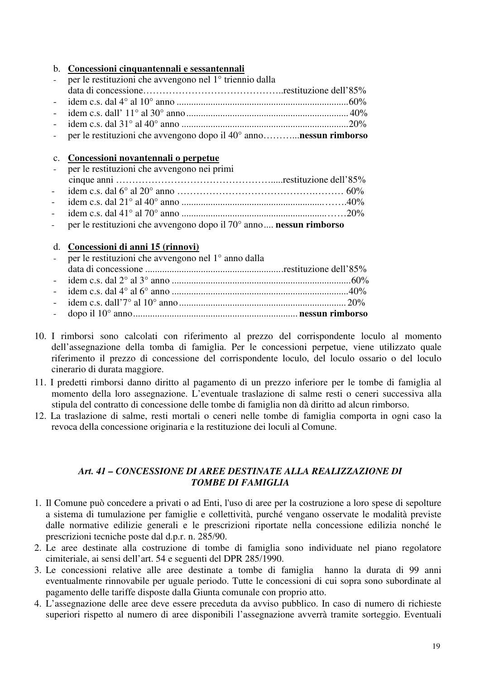#### b. **Concessioni cinquantennali e sessantennali**

| - per le restituzioni che avvengono nel 1 <sup>°</sup> triennio dalla |  |
|-----------------------------------------------------------------------|--|
|                                                                       |  |
|                                                                       |  |
|                                                                       |  |
|                                                                       |  |

- per le restituzioni che avvengono dopo il 40° anno………...**nessun rimborso**

#### c. **Concessioni novantennali o perpetue**

- per le restituzioni che avvengono nei primi cinque anni ………………………………………….....restituzione dell'85% - idem c.s. dal 6° al 20° anno …………………………………….……… 60% - idem c.s. dal 21° al 40° anno ...........................................................…….40% - idem c.s. dal 41° al 70° anno ............................................................……20%
- per le restituzioni che avvengono dopo il 70° anno.... **nessun rimborso**

#### d. **Concessioni di anni 15 (rinnovi)**

| - per le restituzioni che avvengono nel $1^\circ$ anno dalla |  |
|--------------------------------------------------------------|--|
|                                                              |  |
|                                                              |  |
|                                                              |  |
|                                                              |  |
|                                                              |  |

- 10. I rimborsi sono calcolati con riferimento al prezzo del corrispondente loculo al momento dell'assegnazione della tomba di famiglia. Per le concessioni perpetue, viene utilizzato quale riferimento il prezzo di concessione del corrispondente loculo, del loculo ossario o del loculo cinerario di durata maggiore.
- 11. I predetti rimborsi danno diritto al pagamento di un prezzo inferiore per le tombe di famiglia al momento della loro assegnazione. L'eventuale traslazione di salme resti o ceneri successiva alla stipula del contratto di concessione delle tombe di famiglia non dà diritto ad alcun rimborso.
- 12. La traslazione di salme, resti mortali o ceneri nelle tombe di famiglia comporta in ogni caso la revoca della concessione originaria e la restituzione dei loculi al Comune.

#### *Art. 41 – CONCESSIONE DI AREE DESTINATE ALLA REALIZZAZIONE DI TOMBE DI FAMIGLIA*

- 1. Il Comune può concedere a privati o ad Enti, l'uso di aree per la costruzione a loro spese di sepolture a sistema di tumulazione per famiglie e collettività, purché vengano osservate le modalità previste dalle normative edilizie generali e le prescrizioni riportate nella concessione edilizia nonché le prescrizioni tecniche poste dal d.p.r. n. 285/90.
- 2. Le aree destinate alla costruzione di tombe di famiglia sono individuate nel piano regolatore cimiteriale, ai sensi dell'art. 54 e seguenti del DPR 285/1990.
- 3. Le concessioni relative alle aree destinate a tombe di famiglia hanno la durata di 99 anni eventualmente rinnovabile per uguale periodo. Tutte le concessioni di cui sopra sono subordinate al pagamento delle tariffe disposte dalla Giunta comunale con proprio atto.
- 4. L'assegnazione delle aree deve essere preceduta da avviso pubblico. In caso di numero di richieste superiori rispetto al numero di aree disponibili l'assegnazione avverrà tramite sorteggio. Eventuali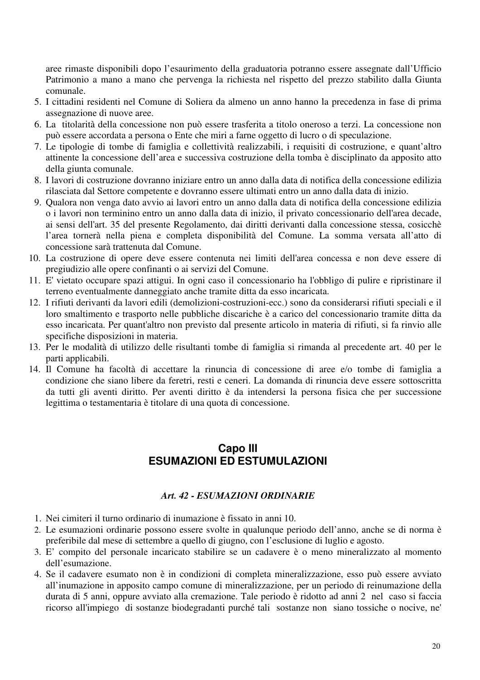aree rimaste disponibili dopo l'esaurimento della graduatoria potranno essere assegnate dall'Ufficio Patrimonio a mano a mano che pervenga la richiesta nel rispetto del prezzo stabilito dalla Giunta comunale.

- 5. I cittadini residenti nel Comune di Soliera da almeno un anno hanno la precedenza in fase di prima assegnazione di nuove aree.
- 6. La titolarità della concessione non può essere trasferita a titolo oneroso a terzi. La concessione non può essere accordata a persona o Ente che miri a farne oggetto di lucro o di speculazione.
- 7. Le tipologie di tombe di famiglia e collettività realizzabili, i requisiti di costruzione, e quant'altro attinente la concessione dell'area e successiva costruzione della tomba è disciplinato da apposito atto della giunta comunale.
- 8. I lavori di costruzione dovranno iniziare entro un anno dalla data di notifica della concessione edilizia rilasciata dal Settore competente e dovranno essere ultimati entro un anno dalla data di inizio.
- 9. Qualora non venga dato avvio ai lavori entro un anno dalla data di notifica della concessione edilizia o i lavori non terminino entro un anno dalla data di inizio, il privato concessionario dell'area decade, ai sensi dell'art. 35 del presente Regolamento, dai diritti derivanti dalla concessione stessa, cosicchè l'area tornerà nella piena e completa disponibilità del Comune. La somma versata all'atto di concessione sarà trattenuta dal Comune.
- 10. La costruzione di opere deve essere contenuta nei limiti dell'area concessa e non deve essere di pregiudizio alle opere confinanti o ai servizi del Comune.
- 11. E' vietato occupare spazi attigui. In ogni caso il concessionario ha l'obbligo di pulire e ripristinare il terreno eventualmente danneggiato anche tramite ditta da esso incaricata.
- 12. I rifiuti derivanti da lavori edili (demolizioni-costruzioni-ecc.) sono da considerarsi rifiuti speciali e il loro smaltimento e trasporto nelle pubbliche discariche è a carico del concessionario tramite ditta da esso incaricata. Per quant'altro non previsto dal presente articolo in materia di rifiuti, si fa rinvio alle specifiche disposizioni in materia.
- 13. Per le modalità di utilizzo delle risultanti tombe di famiglia si rimanda al precedente art. 40 per le parti applicabili.
- 14. Il Comune ha facoltà di accettare la rinuncia di concessione di aree e/o tombe di famiglia a condizione che siano libere da feretri, resti e ceneri. La domanda di rinuncia deve essere sottoscritta da tutti gli aventi diritto. Per aventi diritto è da intendersi la persona fisica che per successione legittima o testamentaria è titolare di una quota di concessione.

# **Capo III ESUMAZIONI ED ESTUMULAZIONI**

# *Art. 42 - ESUMAZIONI ORDINARIE*

- 1. Nei cimiteri il turno ordinario di inumazione è fissato in anni 10.
- 2. Le esumazioni ordinarie possono essere svolte in qualunque periodo dell'anno, anche se di norma è preferibile dal mese di settembre a quello di giugno, con l'esclusione di luglio e agosto.
- 3. E' compito del personale incaricato stabilire se un cadavere è o meno mineralizzato al momento dell'esumazione.
- 4. Se il cadavere esumato non è in condizioni di completa mineralizzazione, esso può essere avviato all'inumazione in apposito campo comune di mineralizzazione, per un periodo di reinumazione della durata di 5 anni, oppure avviato alla cremazione. Tale periodo è ridotto ad anni 2 nel caso si faccia ricorso all'impiego di sostanze biodegradanti purché tali sostanze non siano tossiche o nocive, ne'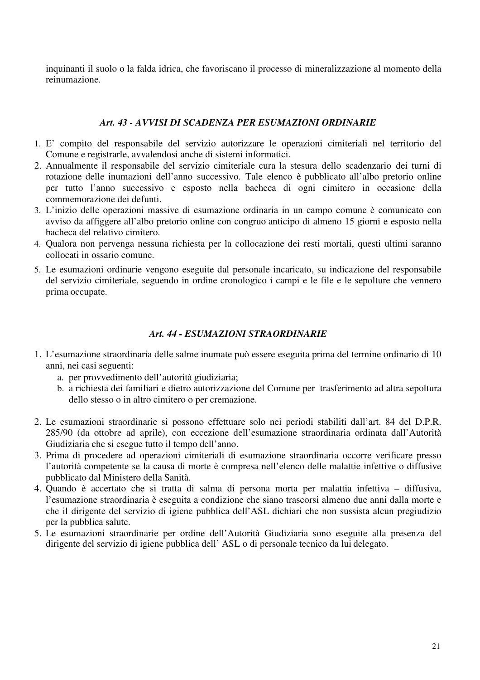inquinanti il suolo o la falda idrica, che favoriscano il processo di mineralizzazione al momento della reinumazione.

#### *Art. 43 - AVVISI DI SCADENZA PER ESUMAZIONI ORDINARIE*

- 1. E' compito del responsabile del servizio autorizzare le operazioni cimiteriali nel territorio del Comune e registrarle, avvalendosi anche di sistemi informatici.
- 2. Annualmente il responsabile del servizio cimiteriale cura la stesura dello scadenzario dei turni di rotazione delle inumazioni dell'anno successivo. Tale elenco è pubblicato all'albo pretorio online per tutto l'anno successivo e esposto nella bacheca di ogni cimitero in occasione della commemorazione dei defunti.
- 3. L'inizio delle operazioni massive di esumazione ordinaria in un campo comune è comunicato con avviso da affiggere all'albo pretorio online con congruo anticipo di almeno 15 giorni e esposto nella bacheca del relativo cimitero.
- 4. Qualora non pervenga nessuna richiesta per la collocazione dei resti mortali, questi ultimi saranno collocati in ossario comune.
- 5. Le esumazioni ordinarie vengono eseguite dal personale incaricato, su indicazione del responsabile del servizio cimiteriale, seguendo in ordine cronologico i campi e le file e le sepolture che vennero prima occupate.

#### *Art. 44 - ESUMAZIONI STRAORDINARIE*

- 1. L'esumazione straordinaria delle salme inumate può essere eseguita prima del termine ordinario di 10 anni, nei casi seguenti:
	- a. per provvedimento dell'autorità giudiziaria;
	- b. a richiesta dei familiari e dietro autorizzazione del Comune per trasferimento ad altra sepoltura dello stesso o in altro cimitero o per cremazione.
- 2. Le esumazioni straordinarie si possono effettuare solo nei periodi stabiliti dall'art. 84 del D.P.R. 285/90 (da ottobre ad aprile), con eccezione dell'esumazione straordinaria ordinata dall'Autorità Giudiziaria che si esegue tutto il tempo dell'anno.
- 3. Prima di procedere ad operazioni cimiteriali di esumazione straordinaria occorre verificare presso l'autorità competente se la causa di morte è compresa nell'elenco delle malattie infettive o diffusive pubblicato dal Ministero della Sanità.
- 4. Quando è accertato che si tratta di salma di persona morta per malattia infettiva diffusiva, l'esumazione straordinaria è eseguita a condizione che siano trascorsi almeno due anni dalla morte e che il dirigente del servizio di igiene pubblica dell'ASL dichiari che non sussista alcun pregiudizio per la pubblica salute.
- 5. Le esumazioni straordinarie per ordine dell'Autorità Giudiziaria sono eseguite alla presenza del dirigente del servizio di igiene pubblica dell' ASL o di personale tecnico da lui delegato.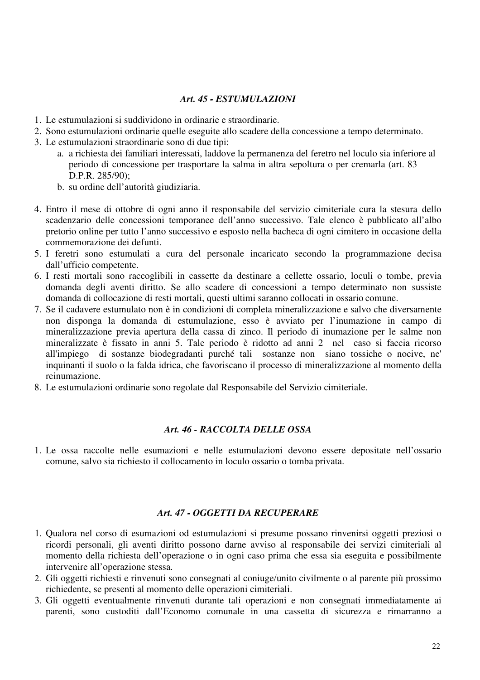### *Art. 45 - ESTUMULAZIONI*

- 1. Le estumulazioni si suddividono in ordinarie e straordinarie.
- 2. Sono estumulazioni ordinarie quelle eseguite allo scadere della concessione a tempo determinato.
- 3. Le estumulazioni straordinarie sono di due tipi:
	- a. a richiesta dei familiari interessati, laddove la permanenza del feretro nel loculo sia inferiore al periodo di concessione per trasportare la salma in altra sepoltura o per cremarla (art. 83 D.P.R. 285/90);
	- b. su ordine dell'autorità giudiziaria.
- 4. Entro il mese di ottobre di ogni anno il responsabile del servizio cimiteriale cura la stesura dello scadenzario delle concessioni temporanee dell'anno successivo. Tale elenco è pubblicato all'albo pretorio online per tutto l'anno successivo e esposto nella bacheca di ogni cimitero in occasione della commemorazione dei defunti.
- 5. I feretri sono estumulati a cura del personale incaricato secondo la programmazione decisa dall'ufficio competente.
- 6. I resti mortali sono raccoglibili in cassette da destinare a cellette ossario, loculi o tombe, previa domanda degli aventi diritto. Se allo scadere di concessioni a tempo determinato non sussiste domanda di collocazione di resti mortali, questi ultimi saranno collocati in ossario comune.
- 7. Se il cadavere estumulato non è in condizioni di completa mineralizzazione e salvo che diversamente non disponga la domanda di estumulazione, esso è avviato per l'inumazione in campo di mineralizzazione previa apertura della cassa di zinco. Il periodo di inumazione per le salme non mineralizzate è fissato in anni 5. Tale periodo è ridotto ad anni 2 nel caso si faccia ricorso all'impiego di sostanze biodegradanti purché tali sostanze non siano tossiche o nocive, ne' inquinanti il suolo o la falda idrica, che favoriscano il processo di mineralizzazione al momento della reinumazione.
- 8. Le estumulazioni ordinarie sono regolate dal Responsabile del Servizio cimiteriale.

### *Art. 46 - RACCOLTA DELLE OSSA*

1. Le ossa raccolte nelle esumazioni e nelle estumulazioni devono essere depositate nell'ossario comune, salvo sia richiesto il collocamento in loculo ossario o tomba privata.

#### *Art. 47 - OGGETTI DA RECUPERARE*

- 1. Qualora nel corso di esumazioni od estumulazioni si presume possano rinvenirsi oggetti preziosi o ricordi personali, gli aventi diritto possono darne avviso al responsabile dei servizi cimiteriali al momento della richiesta dell'operazione o in ogni caso prima che essa sia eseguita e possibilmente intervenire all'operazione stessa.
- 2. Gli oggetti richiesti e rinvenuti sono consegnati al coniuge/unito civilmente o al parente più prossimo richiedente, se presenti al momento delle operazioni cimiteriali.
- 3. Gli oggetti eventualmente rinvenuti durante tali operazioni e non consegnati immediatamente ai parenti, sono custoditi dall'Economo comunale in una cassetta di sicurezza e rimarranno a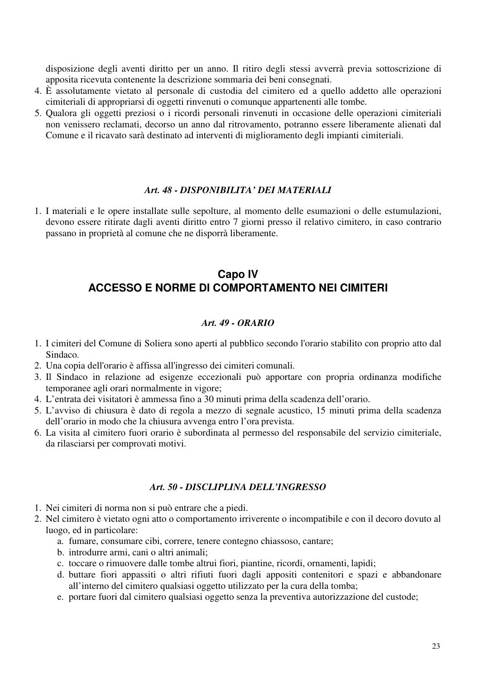disposizione degli aventi diritto per un anno. Il ritiro degli stessi avverrà previa sottoscrizione di apposita ricevuta contenente la descrizione sommaria dei beni consegnati.

- 4. È assolutamente vietato al personale di custodia del cimitero ed a quello addetto alle operazioni cimiteriali di appropriarsi di oggetti rinvenuti o comunque appartenenti alle tombe.
- 5. Qualora gli oggetti preziosi o i ricordi personali rinvenuti in occasione delle operazioni cimiteriali non venissero reclamati, decorso un anno dal ritrovamento, potranno essere liberamente alienati dal Comune e il ricavato sarà destinato ad interventi di miglioramento degli impianti cimiteriali.

#### *Art. 48 - DISPONIBILITA' DEI MATERIALI*

1. I materiali e le opere installate sulle sepolture, al momento delle esumazioni o delle estumulazioni, devono essere ritirate dagli aventi diritto entro 7 giorni presso il relativo cimitero, in caso contrario passano in proprietà al comune che ne disporrà liberamente.

# **Capo IV ACCESSO E NORME DI COMPORTAMENTO NEI CIMITERI**

### *Art. 49 - ORARIO*

- 1. I cimiteri del Comune di Soliera sono aperti al pubblico secondo l'orario stabilito con proprio atto dal Sindaco.
- 2. Una copia dell'orario è affissa all'ingresso dei cimiteri comunali.
- 3. Il Sindaco in relazione ad esigenze eccezionali può apportare con propria ordinanza modifiche temporanee agli orari normalmente in vigore;
- 4. L'entrata dei visitatori è ammessa fino a 30 minuti prima della scadenza dell'orario.
- 5. L'avviso di chiusura è dato di regola a mezzo di segnale acustico, 15 minuti prima della scadenza dell'orario in modo che la chiusura avvenga entro l'ora prevista.
- 6. La visita al cimitero fuori orario è subordinata al permesso del responsabile del servizio cimiteriale, da rilasciarsi per comprovati motivi.

#### *Art. 50 - DISCLIPLINA DELL'INGRESSO*

- 1. Nei cimiteri di norma non si può entrare che a piedi.
- 2. Nel cimitero è vietato ogni atto o comportamento irriverente o incompatibile e con il decoro dovuto al luogo, ed in particolare:
	- a. fumare, consumare cibi, correre, tenere contegno chiassoso, cantare;
	- b. introdurre armi, cani o altri animali;
	- c. toccare o rimuovere dalle tombe altrui fiori, piantine, ricordi, ornamenti, lapidi;
	- d. buttare fiori appassiti o altri rifiuti fuori dagli appositi contenitori e spazi e abbandonare all'interno del cimitero qualsiasi oggetto utilizzato per la cura della tomba;
	- e. portare fuori dal cimitero qualsiasi oggetto senza la preventiva autorizzazione del custode;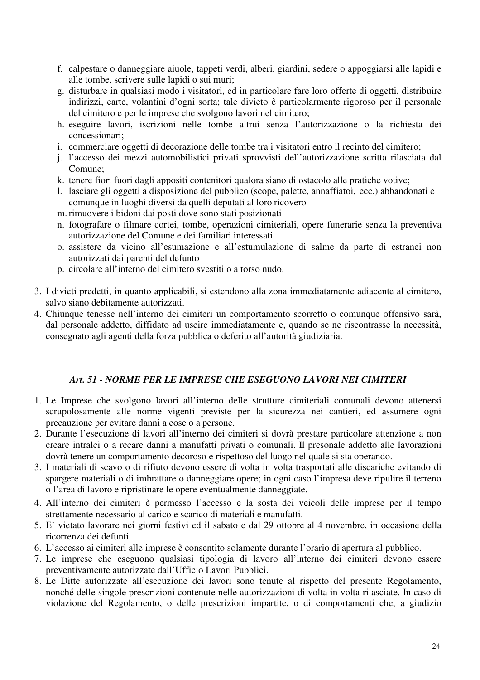- f. calpestare o danneggiare aiuole, tappeti verdi, alberi, giardini, sedere o appoggiarsi alle lapidi e alle tombe, scrivere sulle lapidi o sui muri;
- g. disturbare in qualsiasi modo i visitatori, ed in particolare fare loro offerte di oggetti, distribuire indirizzi, carte, volantini d'ogni sorta; tale divieto è particolarmente rigoroso per il personale del cimitero e per le imprese che svolgono lavori nel cimitero;
- h. eseguire lavori, iscrizioni nelle tombe altrui senza l'autorizzazione o la richiesta dei concessionari;
- i. commerciare oggetti di decorazione delle tombe tra i visitatori entro il recinto del cimitero;
- j. l'accesso dei mezzi automobilistici privati sprovvisti dell'autorizzazione scritta rilasciata dal Comune;
- k. tenere fiori fuori dagli appositi contenitori qualora siano di ostacolo alle pratiche votive;
- l. lasciare gli oggetti a disposizione del pubblico (scope, palette, annaffiatoi, ecc.) abbandonati e comunque in luoghi diversi da quelli deputati al loro ricovero
- m.rimuovere i bidoni dai posti dove sono stati posizionati
- n. fotografare o filmare cortei, tombe, operazioni cimiteriali, opere funerarie senza la preventiva autorizzazione del Comune e dei familiari interessati
- o. assistere da vicino all'esumazione e all'estumulazione di salme da parte di estranei non autorizzati dai parenti del defunto
- p. circolare all'interno del cimitero svestiti o a torso nudo.
- 3. I divieti predetti, in quanto applicabili, si estendono alla zona immediatamente adiacente al cimitero, salvo siano debitamente autorizzati.
- 4. Chiunque tenesse nell'interno dei cimiteri un comportamento scorretto o comunque offensivo sarà, dal personale addetto, diffidato ad uscire immediatamente e, quando se ne riscontrasse la necessità, consegnato agli agenti della forza pubblica o deferito all'autorità giudiziaria.

# *Art. 51 - NORME PER LE IMPRESE CHE ESEGUONO LAVORI NEI CIMITERI*

- 1. Le Imprese che svolgono lavori all'interno delle strutture cimiteriali comunali devono attenersi scrupolosamente alle norme vigenti previste per la sicurezza nei cantieri, ed assumere ogni precauzione per evitare danni a cose o a persone.
- 2. Durante l'esecuzione di lavori all'interno dei cimiteri si dovrà prestare particolare attenzione a non creare intralci o a recare danni a manufatti privati o comunali. Il presonale addetto alle lavorazioni dovrà tenere un comportamento decoroso e rispettoso del luogo nel quale si sta operando.
- 3. I materiali di scavo o di rifiuto devono essere di volta in volta trasportati alle discariche evitando di spargere materiali o di imbrattare o danneggiare opere; in ogni caso l'impresa deve ripulire il terreno o l'area di lavoro e ripristinare le opere eventualmente danneggiate.
- 4. All'interno dei cimiteri è permesso l'accesso e la sosta dei veicoli delle imprese per il tempo strettamente necessario al carico e scarico di materiali e manufatti.
- 5. E' vietato lavorare nei giorni festivi ed il sabato e dal 29 ottobre al 4 novembre, in occasione della ricorrenza dei defunti.
- 6. L'accesso ai cimiteri alle imprese è consentito solamente durante l'orario di apertura al pubblico.
- 7. Le imprese che eseguono qualsiasi tipologia di lavoro all'interno dei cimiteri devono essere preventivamente autorizzate dall'Ufficio Lavori Pubblici.
- 8. Le Ditte autorizzate all'esecuzione dei lavori sono tenute al rispetto del presente Regolamento, nonché delle singole prescrizioni contenute nelle autorizzazioni di volta in volta rilasciate. In caso di violazione del Regolamento, o delle prescrizioni impartite, o di comportamenti che, a giudizio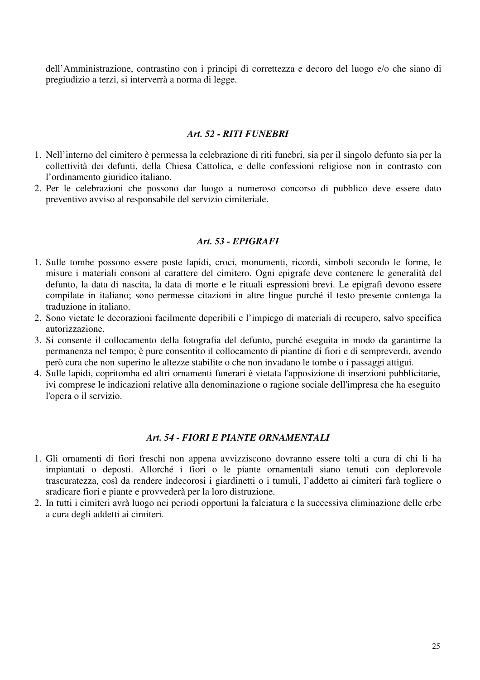dell'Amministrazione, contrastino con i principi di correttezza e decoro del luogo e/o che siano di pregiudizio a terzi, si interverrà a norma di legge.

#### *Art. 52 - RITI FUNEBRI*

- 1. Nell'interno del cimitero è permessa la celebrazione di riti funebri, sia per il singolo defunto sia per la collettività dei defunti, della Chiesa Cattolica, e delle confessioni religiose non in contrasto con l'ordinamento giuridico italiano.
- 2. Per le celebrazioni che possono dar luogo a numeroso concorso di pubblico deve essere dato preventivo avviso al responsabile del servizio cimiteriale.

#### *Art. 53 - EPIGRAFI*

- 1. Sulle tombe possono essere poste lapidi, croci, monumenti, ricordi, simboli secondo le forme, le misure i materiali consoni al carattere del cimitero. Ogni epigrafe deve contenere le generalità del defunto, la data di nascita, la data di morte e le rituali espressioni brevi. Le epigrafi devono essere compilate in italiano; sono permesse citazioni in altre lingue purché il testo presente contenga la traduzione in italiano.
- 2. Sono vietate le decorazioni facilmente deperibili e l'impiego di materiali di recupero, salvo specifica autorizzazione.
- 3. Si consente il collocamento della fotografia del defunto, purché eseguita in modo da garantirne la permanenza nel tempo; è pure consentito il collocamento di piantine di fiori e di sempreverdi, avendo però cura che non superino le altezze stabilite o che non invadano le tombe o i passaggi attigui.
- 4. Sulle lapidi, copritomba ed altri ornamenti funerari è vietata l'apposizione di inserzioni pubblicitarie, ivi comprese le indicazioni relative alla denominazione o ragione sociale dell'impresa che ha eseguito l'opera o il servizio.

#### *Art. 54 - FIORI E PIANTE ORNAMENTALI*

- 1. Gli ornamenti di fiori freschi non appena avvizziscono dovranno essere tolti a cura di chi li ha impiantati o deposti. Allorché i fiori o le piante ornamentali siano tenuti con deplorevole trascuratezza, così da rendere indecorosi i giardinetti o i tumuli, l'addetto ai cimiteri farà togliere o sradicare fiori e piante e provvederà per la loro distruzione.
- 2. In tutti i cimiteri avrà luogo nei periodi opportuni la falciatura e la successiva eliminazione delle erbe a cura degli addetti ai cimiteri.